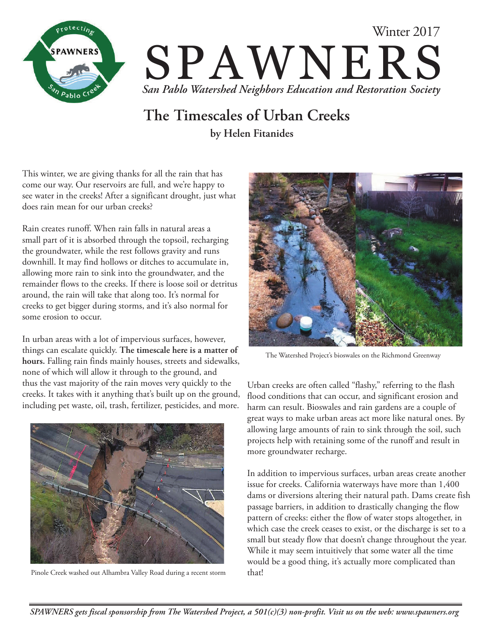

## Winter 2017 SPAWNERS *San Pablo Watershed Neighbors Education and Restoration Society*

### **The Timescales of Urban Creeks by Helen Fitanides**

This winter, we are giving thanks for all the rain that has come our way. Our reservoirs are full, and we're happy to see water in the creeks! After a significant drought, just what does rain mean for our urban creeks?

Rain creates runoff. When rain falls in natural areas a small part of it is absorbed through the topsoil, recharging the groundwater, while the rest follows gravity and runs downhill. It may find hollows or ditches to accumulate in, allowing more rain to sink into the groundwater, and the remainder flows to the creeks. If there is loose soil or detritus around, the rain will take that along too. It's normal for creeks to get bigger during storms, and it's also normal for some erosion to occur.

In urban areas with a lot of impervious surfaces, however, things can escalate quickly. **The timescale here is a matter of hours.** Falling rain finds mainly houses, streets and sidewalks, none of which will allow it through to the ground, and thus the vast majority of the rain moves very quickly to the creeks. It takes with it anything that's built up on the ground, including pet waste, oil, trash, fertilizer, pesticides, and more.



Pinole Creek washed out Alhambra Valley Road during a recent storm



The Watershed Project's bioswales on the Richmond Greenway

Urban creeks are often called "flashy," referring to the flash flood conditions that can occur, and significant erosion and harm can result. Bioswales and rain gardens are a couple of great ways to make urban areas act more like natural ones. By allowing large amounts of rain to sink through the soil, such projects help with retaining some of the runoff and result in more groundwater recharge.

In addition to impervious surfaces, urban areas create another issue for creeks. California waterways have more than 1,400 dams or diversions altering their natural path. Dams create fish passage barriers, in addition to drastically changing the flow pattern of creeks: either the flow of water stops altogether, in which case the creek ceases to exist, or the discharge is set to a small but steady flow that doesn't change throughout the year. While it may seem intuitively that some water all the time would be a good thing, it's actually more complicated than that!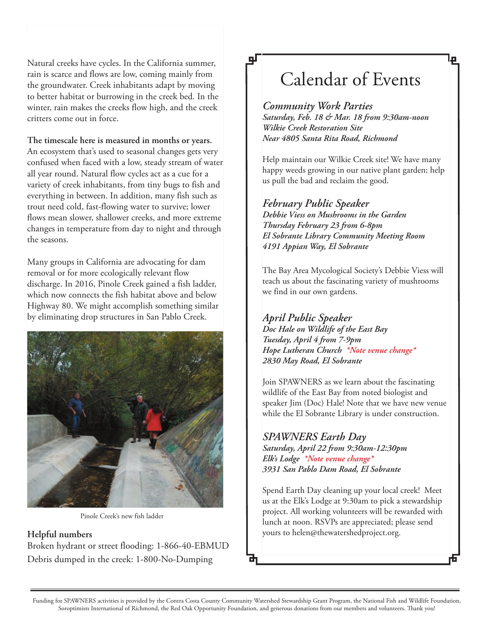Natural creeks have cycles. In the California summer, rain is scarce and flows are low, coming mainly from the groundwater. Creek inhabitants adapt by moving to better habitat or burrowing in the creek bed. In the winter, rain makes the creeks flow high, and the creek critters come out in force.

#### **The timescale here is measured in months or years.**

An ecosystem that's used to seasonal changes gets very confused when faced with a low, steady stream of water all year round. Natural flow cycles act as a cue for a variety of creek inhabitants, from tiny bugs to fish and everything in between. In addition, many fish such as trout need cold, fast-flowing water to survive; lower flows mean slower, shallower creeks, and more extreme changes in temperature from day to night and through the seasons.

Many groups in California are advocating for dam removal or for more ecologically relevant flow discharge. In 2016, Pinole Creek gained a fish ladder, which now connects the fish habitat above and below Highway 80. We might accomplish something similar by eliminating drop structures in San Pablo Creek.



Pinole Creek's new fish ladder

#### **Helpful numbers**

Broken hydrant or street flooding: 1-866-40-EBMUD Debris dumped in the creek: 1-800-No-Dumping

### Calendar of Events

*Community Work Parties Saturday, Feb. 18 & Mar. 18 from 9:30am-noon Wilkie Creek Restoration Site Near 4805 Santa Rita Road, Richmond*

Help maintain our Wilkie Creek site! We have many happy weeds growing in our native plant garden; help us pull the bad and reclaim the good.

#### *February Public Speaker*

Ī

*Debbie Viess on Mushrooms in the Garden Thursday February 23 from 6-8pm El Sobrante Library Community Meeting Room 4191 Appian Way, El Sobrante*

The Bay Area Mycological Society's Debbie Viess will teach us about the fascinating variety of mushrooms we find in our own gardens.

#### *April Public Speaker*

*Doc Hale on Wildlife of the East Bay Tuesday, April 4 from 7-9pm Hope Lutheran Church \*Note venue change\* 2830 May Road, El Sobrante*

Join SPAWNERS as we learn about the fascinating wildlife of the East Bay from noted biologist and speaker Jim (Doc) Hale! Note that we have new venue while the El Sobrante Library is under construction.

#### *SPAWNERS Earth Day*

*Saturday, April 22 from 9:30am-12:30pm Elk's Lodge \*Note venue change\* 3931 San Pablo Dam Road, El Sobrante*

Spend Earth Day cleaning up your local creek! Meet us at the Elk's Lodge at 9:30am to pick a stewardship project. All working volunteers will be rewarded with lunch at noon. RSVPs are appreciated; please send yours to helen@thewatershedproject.org.

Funding for SPAWNERS activities is provided by the Contra Costa County Community Watershed Stewardship Grant Program, the National Fish and Wildlife Foundation, Soroptimists International of Richmond, the Red Oak Opportunity Foundation, and generous donations from our members and volunteers. Thank you!